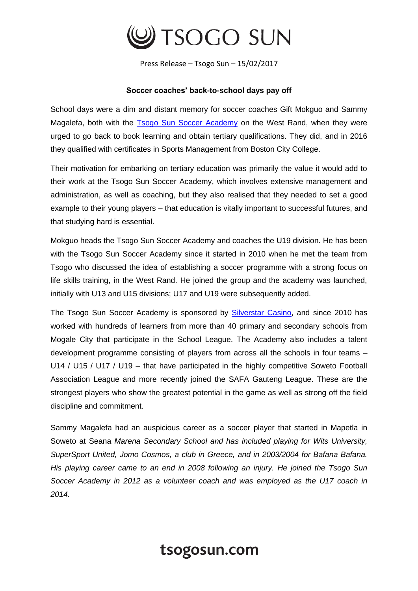

Press Release – Tsogo Sun – 15/02/2017

## **Soccer coaches' back-to-school days pay off**

School days were a dim and distant memory for soccer coaches Gift Mokguo and Sammy Magalefa, both with the [Tsogo Sun Soccer Academy](https://www.tsogosun.com/citizenship/community/sport/soccer) on the West Rand, when they were urged to go back to book learning and obtain tertiary qualifications. They did, and in 2016 they qualified with certificates in Sports Management from Boston City College.

Their motivation for embarking on tertiary education was primarily the value it would add to their work at the Tsogo Sun Soccer Academy, which involves extensive management and administration, as well as coaching, but they also realised that they needed to set a good example to their young players – that education is vitally important to successful futures, and that studying hard is essential.

Mokguo heads the Tsogo Sun Soccer Academy and coaches the U19 division. He has been with the Tsogo Sun Soccer Academy since it started in 2010 when he met the team from Tsogo who discussed the idea of establishing a soccer programme with a strong focus on life skills training, in the West Rand. He joined the group and the academy was launched, initially with U13 and U15 divisions; U17 and U19 were subsequently added.

The Tsogo Sun Soccer Academy is sponsored by [Silverstar Casino,](https://www.tsogosun.com/silverstar-casino) and since 2010 has worked with hundreds of learners from more than 40 primary and secondary schools from Mogale City that participate in the School League. The Academy also includes a talent development programme consisting of players from across all the schools in four teams – U14 / U15 / U17 / U19 – that have participated in the highly competitive Soweto Football Association League and more recently joined the SAFA Gauteng League. These are the strongest players who show the greatest potential in the game as well as strong off the field discipline and commitment.

Sammy Magalefa had an auspicious career as a soccer player that started in Mapetla in Soweto at Seana *Marena Secondary School and has included playing for Wits University, SuperSport United, Jomo Cosmos, a club in Greece, and in 2003/2004 for Bafana Bafana. His playing career came to an end in 2008 following an injury. He joined the Tsogo Sun Soccer Academy in 2012 as a volunteer coach and was employed as the U17 coach in 2014.*

## tsogosun.com